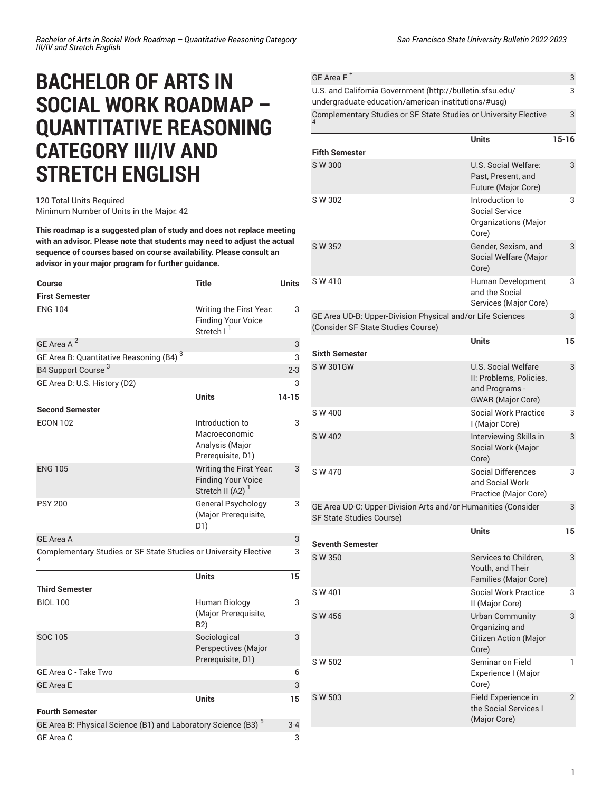## **BACHELOR OF ARTS IN SOCIAL WORK ROADMAP – QUANTITATIVE REASONING CATEGORY III/IV AND STRETCH ENGLISH**

## 120 Total Units Required Minimum Number of Units in the Major: 42

**This roadmap is a suggested plan of study and does not replace meeting with an advisor. Please note that students may need to adjust the actual sequence of courses based on course availability. Please consult an advisor in your major program for further guidance.**

| <b>Course</b>                                                             | <b>Title</b>                                                                   | <b>Units</b> |
|---------------------------------------------------------------------------|--------------------------------------------------------------------------------|--------------|
| <b>First Semester</b>                                                     |                                                                                |              |
| <b>ENG 104</b>                                                            | Writing the First Year.<br><b>Finding Your Voice</b><br>Stretch I <sup>1</sup> | 3            |
| GE Area A <sup>2</sup>                                                    |                                                                                | 3            |
| GE Area B: Quantitative Reasoning (B4) <sup>3</sup>                       |                                                                                | 3            |
| B4 Support Course <sup>3</sup>                                            |                                                                                | $2 - 3$      |
| GE Area D: U.S. History (D2)                                              |                                                                                | 3            |
|                                                                           | <b>Units</b>                                                                   | $14 - 15$    |
| <b>Second Semester</b>                                                    |                                                                                |              |
| <b>ECON 102</b>                                                           | Introduction to<br>Macroeconomic<br>Analysis (Major<br>Prerequisite, D1)       | 3            |
| <b>ENG 105</b>                                                            | Writing the First Year.<br><b>Finding Your Voice</b><br>Stretch II (A2)        | 3            |
| <b>PSY 200</b>                                                            | <b>General Psychology</b><br>(Major Prerequisite,<br>D1)                       | 3            |
| <b>GE Area A</b>                                                          |                                                                                | 3            |
| Complementary Studies or SF State Studies or University Elective          |                                                                                | 3            |
|                                                                           | <b>Units</b>                                                                   | 15           |
| <b>Third Semester</b>                                                     |                                                                                |              |
| <b>BIOL 100</b>                                                           | Human Biology<br>(Major Prerequisite,<br>B2)                                   | 3            |
| SOC 105                                                                   | Sociological<br>Perspectives (Major<br>Prerequisite, D1)                       | 3            |
| GE Area C - Take Two                                                      |                                                                                | 6            |
| <b>GE Area E</b>                                                          |                                                                                | 3            |
|                                                                           | <b>Units</b>                                                                   | 15           |
| <b>Fourth Semester</b>                                                    |                                                                                |              |
| GE Area B: Physical Science (B1) and Laboratory Science (B3) <sup>5</sup> |                                                                                | $3 - 4$      |
| GE Area C                                                                 |                                                                                | 3            |

| GE Area F <sup>±</sup>                                                                                           |                                                                                              | 3<br>3         |
|------------------------------------------------------------------------------------------------------------------|----------------------------------------------------------------------------------------------|----------------|
| U.S. and California Government (http://bulletin.sfsu.edu/<br>undergraduate-education/american-institutions/#usg) |                                                                                              |                |
| Complementary Studies or SF State Studies or University Elective                                                 |                                                                                              | 3              |
|                                                                                                                  | <b>Units</b>                                                                                 | $15 - 16$      |
| <b>Fifth Semester</b>                                                                                            |                                                                                              |                |
| S W 300                                                                                                          | U.S. Social Welfare:<br>Past, Present, and<br>Future (Major Core)                            | 3              |
| S W 302                                                                                                          | Introduction to<br>Social Service<br>Organizations (Major<br>Core)                           | 3              |
| S W 352                                                                                                          | Gender, Sexism, and<br>Social Welfare (Major<br>Core)                                        | 3              |
| SW 410                                                                                                           | Human Development<br>and the Social<br>Services (Major Core)                                 | 3              |
| GE Area UD-B: Upper-Division Physical and/or Life Sciences<br>(Consider SF State Studies Course)                 |                                                                                              | 3              |
| <b>Sixth Semester</b>                                                                                            | <b>Units</b>                                                                                 | 15             |
|                                                                                                                  |                                                                                              |                |
| <b>SW 301GW</b>                                                                                                  | U.S. Social Welfare<br>II: Problems, Policies,<br>and Programs -<br><b>GWAR</b> (Major Core) | 3              |
| S W 400                                                                                                          | <b>Social Work Practice</b><br>I (Major Core)                                                | 3              |
| S W 402                                                                                                          | Interviewing Skills in<br>Social Work (Major<br>Core)                                        | 3              |
| S W 470                                                                                                          | Social Differences<br>and Social Work<br>Practice (Major Core)                               | 3              |
| GE Area UD-C: Upper-Division Arts and/or Humanities (Consider<br>SF State Studies Course)                        |                                                                                              |                |
| <b>Seventh Semester</b>                                                                                          | Units                                                                                        | 15             |
|                                                                                                                  |                                                                                              |                |
| S W 350                                                                                                          | Services to Children,<br>Youth, and Their<br>Families (Major Core)                           | 3              |
| SW 401                                                                                                           | <b>Social Work Practice</b><br>II (Major Core)                                               | 3              |
| S W 456                                                                                                          | <b>Urban Community</b><br>Organizing and<br><b>Citizen Action (Major</b><br>Core)            | 3              |
| S W 502                                                                                                          | Seminar on Field<br>Experience I (Major<br>Core)                                             | 1              |
| S W 503                                                                                                          | Field Experience in<br>the Social Services I<br>(Major Core)                                 | $\overline{2}$ |